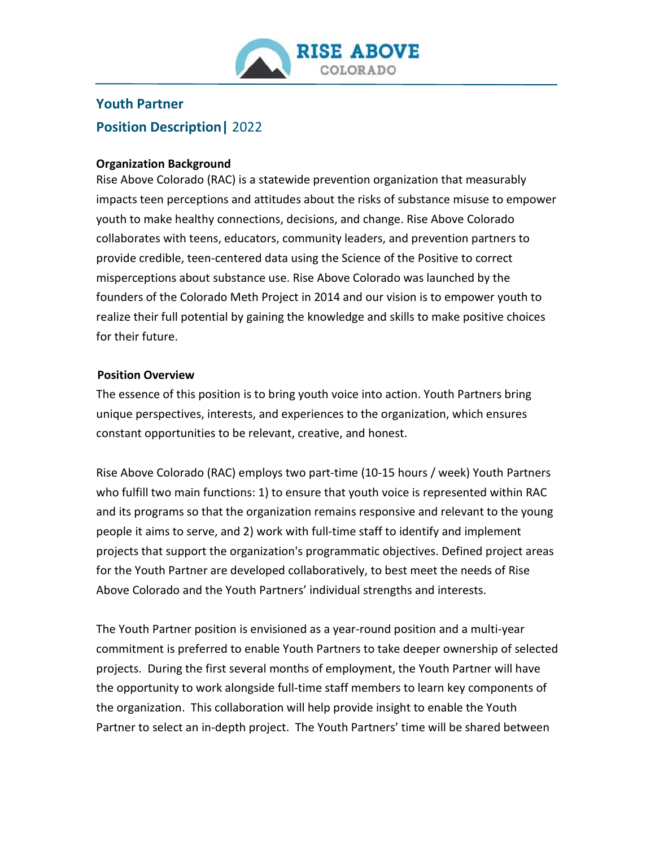

# **Youth Partner Position Description|** 2022

#### **Organization Background**

Rise Above Colorado (RAC) is a statewide prevention organization that measurably impacts teen perceptions and attitudes about the risks of substance misuse to empower youth to make healthy connections, decisions, and change. Rise Above Colorado collaborates with teens, educators, community leaders, and prevention partners to provide credible, teen-centered data using the Science of the Positive to correct misperceptions about substance use. Rise Above Colorado was launched by the founders of the Colorado Meth Project in 2014 and our vision is to empower youth to realize their full potential by gaining the knowledge and skills to make positive choices for their future.

#### **Position Overview**

The essence of this position is to bring youth voice into action. Youth Partners bring unique perspectives, interests, and experiences to the organization, which ensures constant opportunities to be relevant, creative, and honest.

Rise Above Colorado (RAC) employs two part-time (10-15 hours / week) Youth Partners who fulfill two main functions: 1) to ensure that youth voice is represented within RAC and its programs so that the organization remains responsive and relevant to the young people it aims to serve, and 2) work with full-time staff to identify and implement projects that support the organization's programmatic objectives. Defined project areas for the Youth Partner are developed collaboratively, to best meet the needs of Rise Above Colorado and the Youth Partners' individual strengths and interests.

The Youth Partner position is envisioned as a year-round position and a multi-year commitment is preferred to enable Youth Partners to take deeper ownership of selected projects. During the first several months of employment, the Youth Partner will have the opportunity to work alongside full-time staff members to learn key components of the organization. This collaboration will help provide insight to enable the Youth Partner to select an in-depth project. The Youth Partners' time will be shared between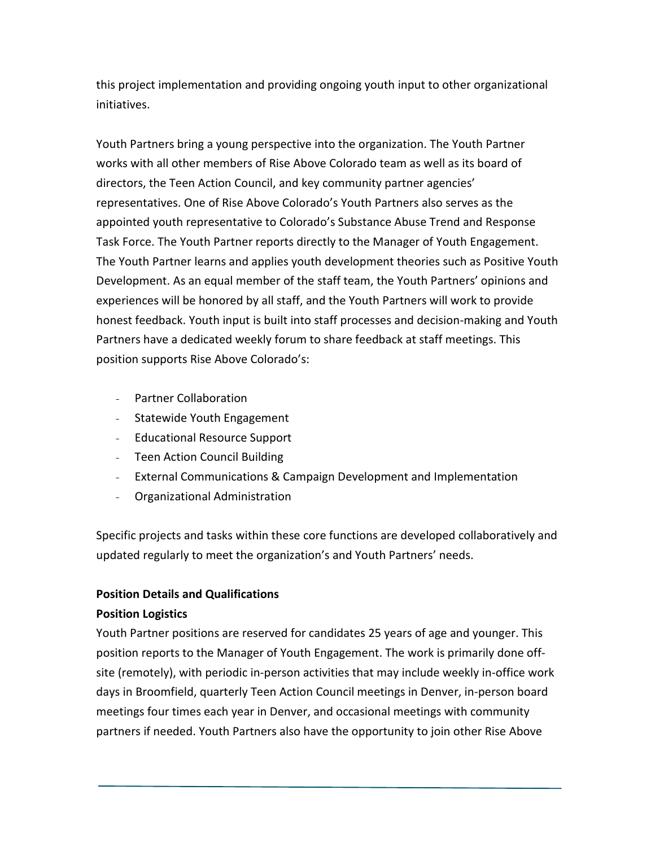this project implementation and providing ongoing youth input to other organizational initiatives.

Youth Partners bring a young perspective into the organization. The Youth Partner works with all other members of Rise Above Colorado team as well as its board of directors, the Teen Action Council, and key community partner agencies' representatives. One of Rise Above Colorado's Youth Partners also serves as the appointed youth representative to Colorado's Substance Abuse Trend and Response Task Force. The Youth Partner reports directly to the Manager of Youth Engagement. The Youth Partner learns and applies youth development theories such as Positive Youth Development. As an equal member of the staff team, the Youth Partners' opinions and experiences will be honored by all staff, and the Youth Partners will work to provide honest feedback. Youth input is built into staff processes and decision-making and Youth Partners have a dedicated weekly forum to share feedback at staff meetings. This position supports Rise Above Colorado's:

- Partner Collaboration
- Statewide Youth Engagement
- Educational Resource Support
- Teen Action Council Building
- External Communications & Campaign Development and Implementation
- Organizational Administration

Specific projects and tasks within these core functions are developed collaboratively and updated regularly to meet the organization's and Youth Partners' needs.

## **Position Details and Qualifications**

## **Position Logistics**

Youth Partner positions are reserved for candidates 25 years of age and younger. This position reports to the Manager of Youth Engagement. The work is primarily done offsite (remotely), with periodic in-person activities that may include weekly in-office work days in Broomfield, quarterly Teen Action Council meetings in Denver, in-person board meetings four times each year in Denver, and occasional meetings with community partners if needed. Youth Partners also have the opportunity to join other Rise Above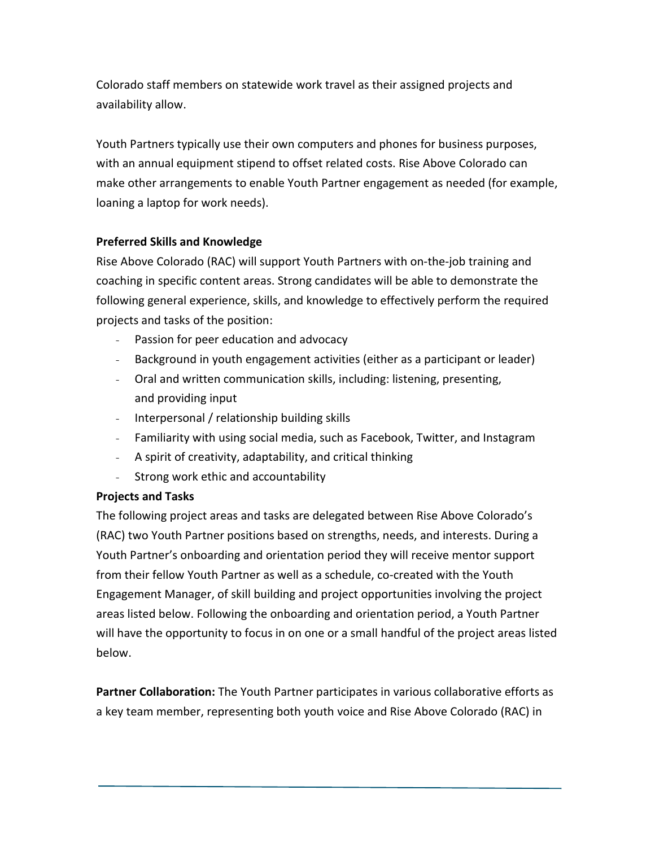Colorado staff members on statewide work travel as their assigned projects and availability allow.

Youth Partners typically use their own computers and phones for business purposes, with an annual equipment stipend to offset related costs. Rise Above Colorado can make other arrangements to enable Youth Partner engagement as needed (for example, loaning a laptop for work needs).

## **Preferred Skills and Knowledge**

Rise Above Colorado (RAC) will support Youth Partners with on-the-job training and coaching in specific content areas. Strong candidates will be able to demonstrate the following general experience, skills, and knowledge to effectively perform the required projects and tasks of the position:

- Passion for peer education and advocacy
- Background in youth engagement activities (either as a participant or leader)
- Oral and written communication skills, including: listening, presenting, and providing input
- Interpersonal / relationship building skills
- Familiarity with using social media, such as Facebook, Twitter, and Instagram
- A spirit of creativity, adaptability, and critical thinking
- Strong work ethic and accountability

## **Projects and Tasks**

The following project areas and tasks are delegated between Rise Above Colorado's (RAC) two Youth Partner positions based on strengths, needs, and interests. During a Youth Partner's onboarding and orientation period they will receive mentor support from their fellow Youth Partner as well as a schedule, co-created with the Youth Engagement Manager, of skill building and project opportunities involving the project areas listed below. Following the onboarding and orientation period, a Youth Partner will have the opportunity to focus in on one or a small handful of the project areas listed below.

**Partner Collaboration:** The Youth Partner participates in various collaborative efforts as a key team member, representing both youth voice and Rise Above Colorado (RAC) in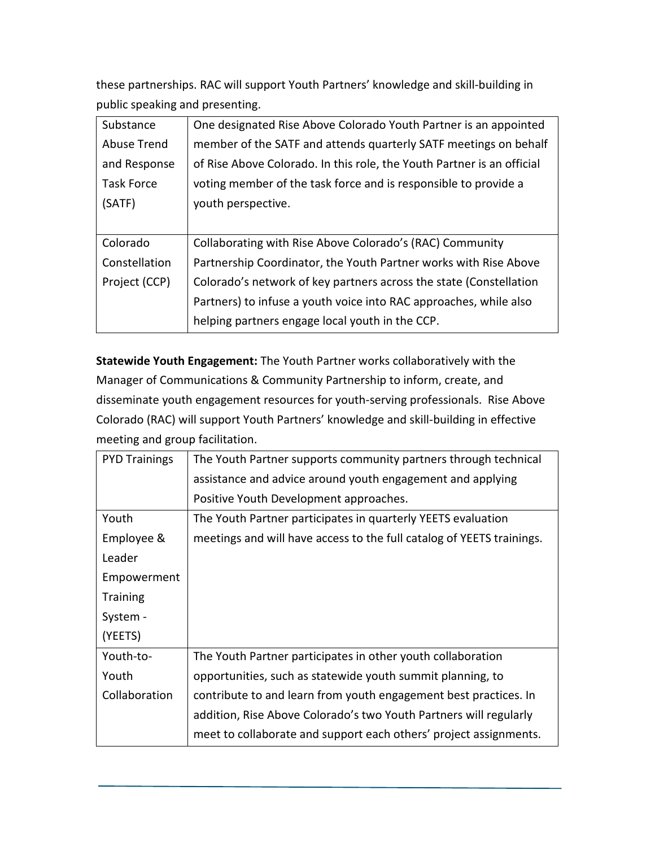these partnerships. RAC will support Youth Partners' knowledge and skill-building in public speaking and presenting.

| Substance         | One designated Rise Above Colorado Youth Partner is an appointed       |
|-------------------|------------------------------------------------------------------------|
| Abuse Trend       | member of the SATF and attends quarterly SATF meetings on behalf       |
| and Response      | of Rise Above Colorado. In this role, the Youth Partner is an official |
| <b>Task Force</b> | voting member of the task force and is responsible to provide a        |
| (SATF)            | youth perspective.                                                     |
|                   |                                                                        |
| Colorado          | Collaborating with Rise Above Colorado's (RAC) Community               |
| Constellation     | Partnership Coordinator, the Youth Partner works with Rise Above       |
| Project (CCP)     | Colorado's network of key partners across the state (Constellation     |
|                   | Partners) to infuse a youth voice into RAC approaches, while also      |
|                   | helping partners engage local youth in the CCP.                        |

**Statewide Youth Engagement:** The Youth Partner works collaboratively with the Manager of Communications & Community Partnership to inform, create, and disseminate youth engagement resources for youth-serving professionals. Rise Above Colorado (RAC) will support Youth Partners' knowledge and skill-building in effective meeting and group facilitation.

| The Youth Partner supports community partners through technical       |
|-----------------------------------------------------------------------|
| assistance and advice around youth engagement and applying            |
| Positive Youth Development approaches.                                |
| The Youth Partner participates in quarterly YEETS evaluation          |
| meetings and will have access to the full catalog of YEETS trainings. |
|                                                                       |
|                                                                       |
|                                                                       |
|                                                                       |
|                                                                       |
| The Youth Partner participates in other youth collaboration           |
| opportunities, such as statewide youth summit planning, to            |
| contribute to and learn from youth engagement best practices. In      |
| addition, Rise Above Colorado's two Youth Partners will regularly     |
| meet to collaborate and support each others' project assignments.     |
|                                                                       |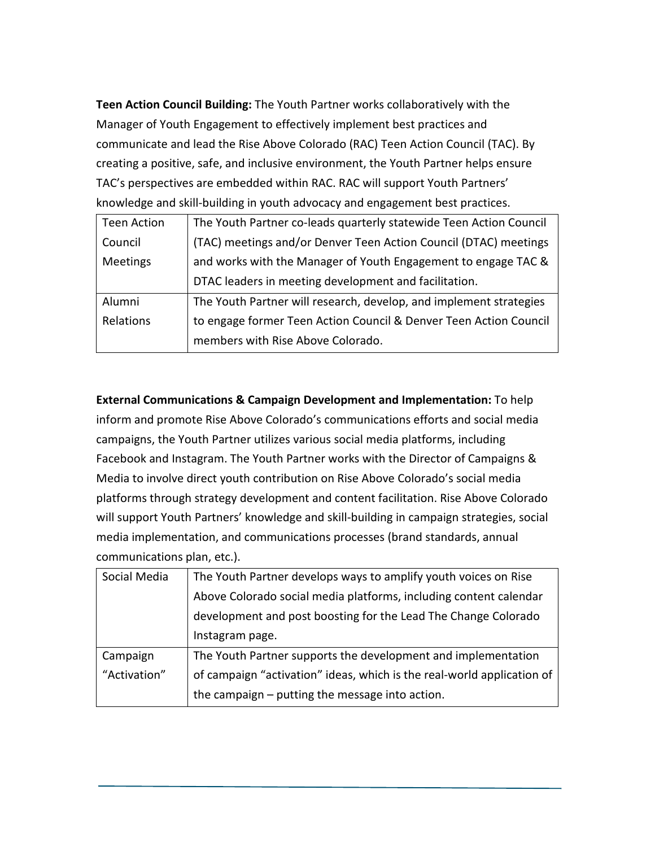**Teen Action Council Building:** The Youth Partner works collaboratively with the Manager of Youth Engagement to effectively implement best practices and communicate and lead the Rise Above Colorado (RAC) Teen Action Council (TAC). By creating a positive, safe, and inclusive environment, the Youth Partner helps ensure TAC's perspectives are embedded within RAC. RAC will support Youth Partners' knowledge and skill-building in youth advocacy and engagement best practices.

| <b>Teen Action</b> | The Youth Partner co-leads quarterly statewide Teen Action Council |
|--------------------|--------------------------------------------------------------------|
| Council            | (TAC) meetings and/or Denver Teen Action Council (DTAC) meetings   |
| Meetings           | and works with the Manager of Youth Engagement to engage TAC &     |
|                    | DTAC leaders in meeting development and facilitation.              |
| Alumni             | The Youth Partner will research, develop, and implement strategies |
| Relations          | to engage former Teen Action Council & Denver Teen Action Council  |
|                    | members with Rise Above Colorado.                                  |

**External Communications & Campaign Development and Implementation:** To help inform and promote Rise Above Colorado's communications efforts and social media campaigns, the Youth Partner utilizes various social media platforms, including Facebook and Instagram. The Youth Partner works with the Director of Campaigns & Media to involve direct youth contribution on Rise Above Colorado's social media platforms through strategy development and content facilitation. Rise Above Colorado will support Youth Partners' knowledge and skill-building in campaign strategies, social media implementation, and communications processes (brand standards, annual communications plan, etc.).

| Social Media | The Youth Partner develops ways to amplify youth voices on Rise        |
|--------------|------------------------------------------------------------------------|
|              | Above Colorado social media platforms, including content calendar      |
|              | development and post boosting for the Lead The Change Colorado         |
|              | Instagram page.                                                        |
| Campaign     | The Youth Partner supports the development and implementation          |
| "Activation" | of campaign "activation" ideas, which is the real-world application of |
|              | the campaign – putting the message into action.                        |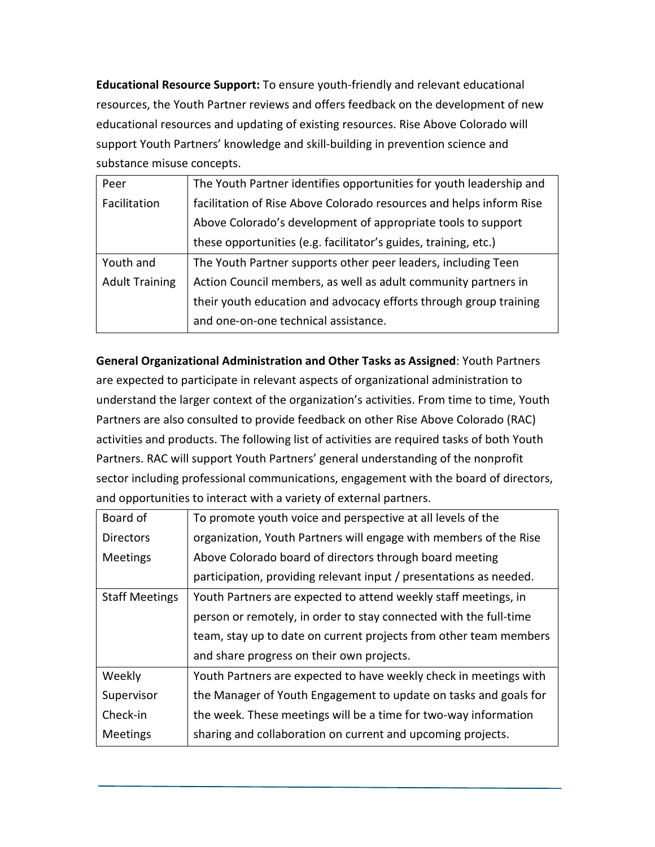**Educational Resource Support:** To ensure youth-friendly and relevant educational resources, the Youth Partner reviews and offers feedback on the development of new educational resources and updating of existing resources. Rise Above Colorado will support Youth Partners' knowledge and skill-building in prevention science and substance misuse concepts.

| Peer                  | The Youth Partner identifies opportunities for youth leadership and |
|-----------------------|---------------------------------------------------------------------|
| Facilitation          | facilitation of Rise Above Colorado resources and helps inform Rise |
|                       | Above Colorado's development of appropriate tools to support        |
|                       | these opportunities (e.g. facilitator's guides, training, etc.)     |
| Youth and             | The Youth Partner supports other peer leaders, including Teen       |
| <b>Adult Training</b> | Action Council members, as well as adult community partners in      |
|                       | their youth education and advocacy efforts through group training   |
|                       | and one-on-one technical assistance.                                |

**General Organizational Administration and Other Tasks as Assigned**: Youth Partners are expected to participate in relevant aspects of organizational administration to understand the larger context of the organization's activities. From time to time, Youth Partners are also consulted to provide feedback on other Rise Above Colorado (RAC) activities and products. The following list of activities are required tasks of both Youth Partners. RAC will support Youth Partners' general understanding of the nonprofit sector including professional communications, engagement with the board of directors, and opportunities to interact with a variety of external partners.

| Board of              | To promote youth voice and perspective at all levels of the        |
|-----------------------|--------------------------------------------------------------------|
| <b>Directors</b>      | organization, Youth Partners will engage with members of the Rise  |
| <b>Meetings</b>       | Above Colorado board of directors through board meeting            |
|                       | participation, providing relevant input / presentations as needed. |
| <b>Staff Meetings</b> | Youth Partners are expected to attend weekly staff meetings, in    |
|                       | person or remotely, in order to stay connected with the full-time  |
|                       | team, stay up to date on current projects from other team members  |
|                       | and share progress on their own projects.                          |
| Weekly                | Youth Partners are expected to have weekly check in meetings with  |
| Supervisor            | the Manager of Youth Engagement to update on tasks and goals for   |
| Check-in              | the week. These meetings will be a time for two-way information    |
| <b>Meetings</b>       | sharing and collaboration on current and upcoming projects.        |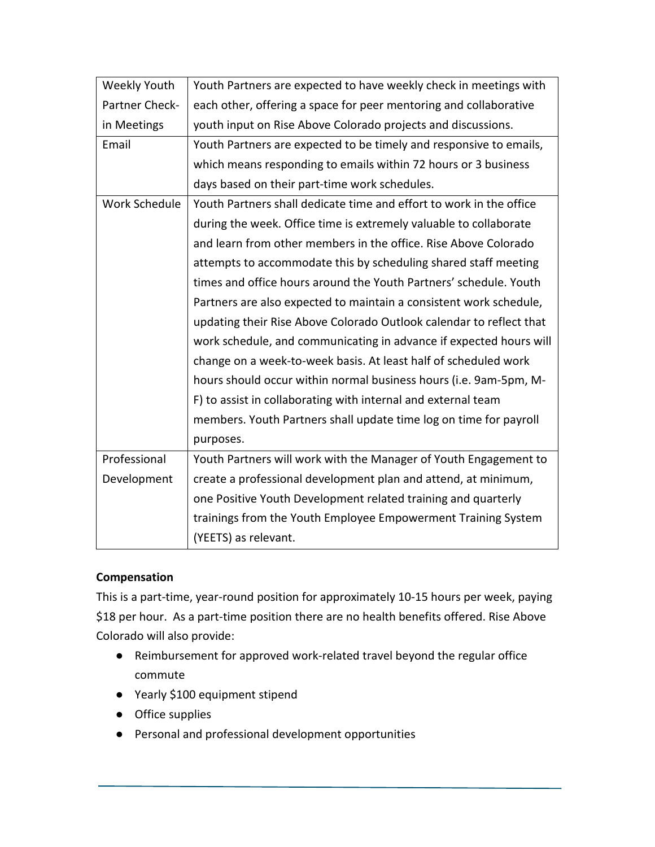| Weekly Youth         | Youth Partners are expected to have weekly check in meetings with   |
|----------------------|---------------------------------------------------------------------|
| Partner Check-       | each other, offering a space for peer mentoring and collaborative   |
| in Meetings          | youth input on Rise Above Colorado projects and discussions.        |
| Email                | Youth Partners are expected to be timely and responsive to emails,  |
|                      | which means responding to emails within 72 hours or 3 business      |
|                      | days based on their part-time work schedules.                       |
| <b>Work Schedule</b> | Youth Partners shall dedicate time and effort to work in the office |
|                      | during the week. Office time is extremely valuable to collaborate   |
|                      | and learn from other members in the office. Rise Above Colorado     |
|                      | attempts to accommodate this by scheduling shared staff meeting     |
|                      | times and office hours around the Youth Partners' schedule. Youth   |
|                      | Partners are also expected to maintain a consistent work schedule,  |
|                      | updating their Rise Above Colorado Outlook calendar to reflect that |
|                      | work schedule, and communicating in advance if expected hours will  |
|                      | change on a week-to-week basis. At least half of scheduled work     |
|                      | hours should occur within normal business hours (i.e. 9am-5pm, M-   |
|                      | F) to assist in collaborating with internal and external team       |
|                      | members. Youth Partners shall update time log on time for payroll   |
|                      | purposes.                                                           |
| Professional         | Youth Partners will work with the Manager of Youth Engagement to    |
| Development          | create a professional development plan and attend, at minimum,      |
|                      | one Positive Youth Development related training and quarterly       |
|                      | trainings from the Youth Employee Empowerment Training System       |
|                      | (YEETS) as relevant.                                                |

## **Compensation**

This is a part-time, year-round position for approximately 10-15 hours per week, paying \$18 per hour. As a part-time position there are no health benefits offered. Rise Above Colorado will also provide:

- Reimbursement for approved work-related travel beyond the regular office commute
- Yearly \$100 equipment stipend
- Office supplies
- Personal and professional development opportunities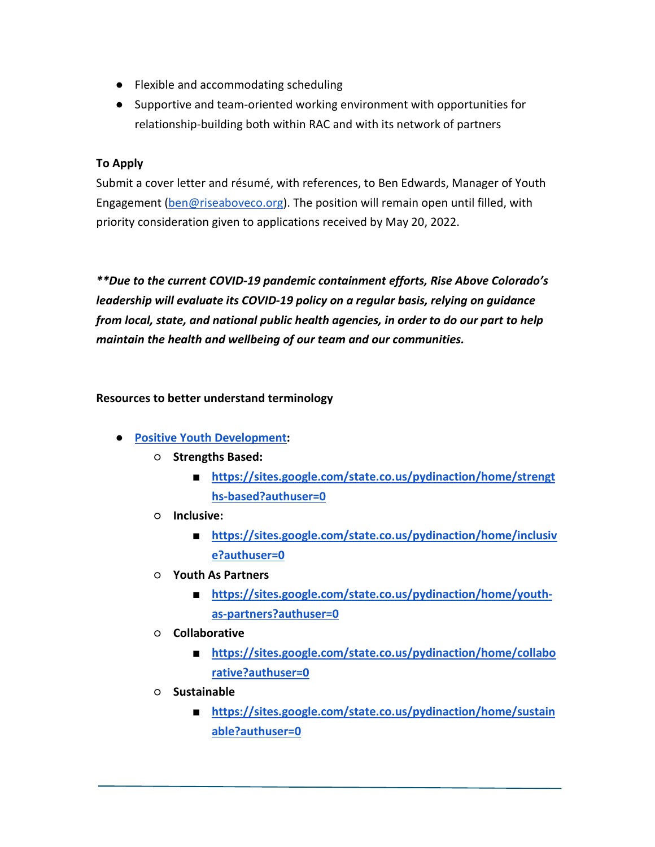- Flexible and accommodating scheduling
- Supportive and team-oriented working environment with opportunities for relationship-building both within RAC and with its network of partners

#### **To Apply**

Submit a cover letter and résumé, with references, to Ben Edwards, Manager of Youth Engagement [\(ben@riseaboveco.org\)](mailto:ben@riseaboveco.org). The position will remain open until filled, with priority consideration given to applications received by May 20, 2022.

*\*\*Due to the current COVID-19 pandemic containment efforts, Rise Above Colorado's leadership will evaluate its COVID-19 policy on a regular basis, relying on guidance from local, state, and national public health agencies, in order to do our part to help maintain the health and wellbeing of our team and our communities.*

#### **Resources to better understand terminology**

- **[Positive Youth Development:](https://sites.google.com/state.co.us/pydinaction/home?authuser=0)** 
	- **Strengths Based:**
		- **[https://sites.google.com/state.co.us/pydinaction/home/strengt](https://sites.google.com/state.co.us/pydinaction/home/strengths-based?authuser=0) [hs-based?authuser=0](https://sites.google.com/state.co.us/pydinaction/home/strengths-based?authuser=0)**
	- **Inclusive:**
		- **[https://sites.google.com/state.co.us/pydinaction/home/inclusiv](https://sites.google.com/state.co.us/pydinaction/home/inclusive?authuser=0) [e?authuser=0](https://sites.google.com/state.co.us/pydinaction/home/inclusive?authuser=0)**
	- **Youth As Partners**
		- [https://sites.google.com/state.co.us/pydinaction/home/youth](https://sites.google.com/state.co.us/pydinaction/home/youth-as-partners?authuser=0)**[as-partners?authuser=0](https://sites.google.com/state.co.us/pydinaction/home/youth-as-partners?authuser=0)**
	- **Collaborative**
		- **[https://sites.google.com/state.co.us/pydinaction/home/collabo](https://sites.google.com/state.co.us/pydinaction/home/collaborative?authuser=0) [rative?authuser=0](https://sites.google.com/state.co.us/pydinaction/home/collaborative?authuser=0)**
	- **Sustainable**
		- [https://sites.google.com/state.co.us/pydinaction/home/sustain](https://sites.google.com/state.co.us/pydinaction/home/sustainable?authuser=0) **[able?authuser=0](https://sites.google.com/state.co.us/pydinaction/home/sustainable?authuser=0)**